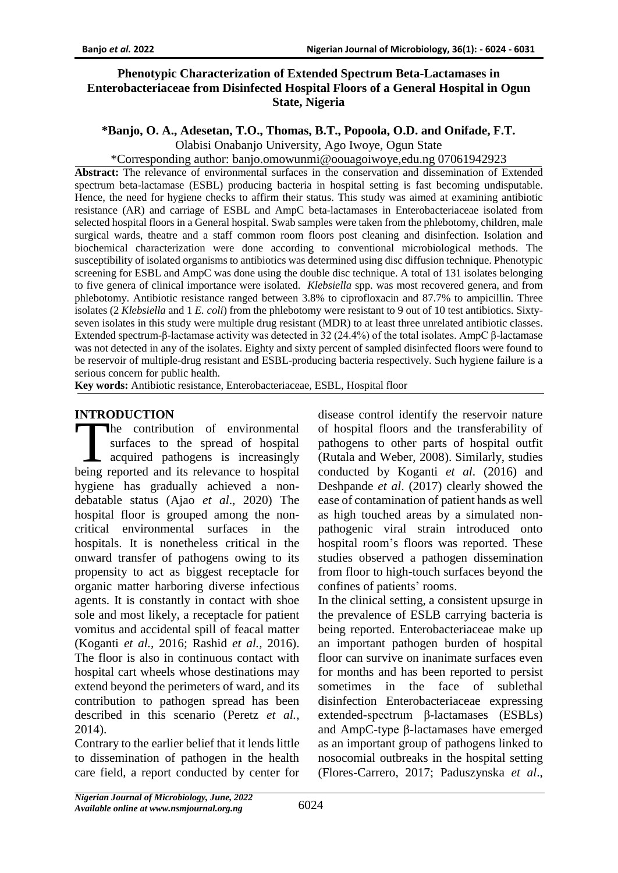#### **Phenotypic Characterization of Extended Spectrum Beta-Lactamases in Enterobacteriaceae from Disinfected Hospital Floors of a General Hospital in Ogun State, Nigeria**

# **\*Banjo, O. A., Adesetan, T.O., Thomas, B.T., Popoola, O.D. and Onifade, F.T.**

Olabisi Onabanjo University, Ago Iwoye, Ogun State

\*Corresponding author: banjo.omowunmi@oouagoiwoye,edu.ng 07061942923

**Abstract:** The relevance of environmental surfaces in the conservation and dissemination of Extended spectrum beta-lactamase (ESBL) producing bacteria in hospital setting is fast becoming undisputable. Hence, the need for hygiene checks to affirm their status. This study was aimed at examining antibiotic resistance (AR) and carriage of ESBL and AmpC beta-lactamases in Enterobacteriaceae isolated from selected hospital floors in a General hospital. Swab samples were taken from the phlebotomy, children, male surgical wards, theatre and a staff common room floors post cleaning and disinfection. Isolation and biochemical characterization were done according to conventional microbiological methods. The susceptibility of isolated organisms to antibiotics was determined using disc diffusion technique. Phenotypic screening for ESBL and AmpC was done using the double disc technique. A total of 131 isolates belonging to five genera of clinical importance were isolated. *Klebsiella* spp. was most recovered genera, and from phlebotomy. Antibiotic resistance ranged between 3.8% to ciprofloxacin and 87.7% to ampicillin. Three isolates (2 *Klebsiella* and 1 *E. coli*) from the phlebotomy were resistant to 9 out of 10 test antibiotics. Sixtyseven isolates in this study were multiple drug resistant (MDR) to at least three unrelated antibiotic classes. Extended spectrum-β-lactamase activity was detected in 32 (24.4%) of the total isolates. AmpC β-lactamase was not detected in any of the isolates. Eighty and sixty percent of sampled disinfected floors were found to be reservoir of multiple-drug resistant and ESBL-producing bacteria respectively. Such hygiene failure is a serious concern for public health.

**Key words:** Antibiotic resistance, Enterobacteriaceae, ESBL, Hospital floor

### **INTRODUCTION**

he contribution of environmental surfaces to the spread of hospital acquired pathogens is increasingly THE CODUCTION<br>
surfaces to the spread of hospital<br>
acquired pathogens is increasingly<br>
being reported and its relevance to hospital hygiene has gradually achieved a nondebatable status (Ajao *et al*., 2020) The hospital floor is grouped among the noncritical environmental surfaces in the hospitals. It is nonetheless critical in the onward transfer of pathogens owing to its propensity to act as biggest receptacle for organic matter harboring diverse infectious agents. It is constantly in contact with shoe sole and most likely, a receptacle for patient vomitus and accidental spill of feacal matter (Koganti *et al.,* 2016; Rashid *et al.,* 2016). The floor is also in continuous contact with hospital cart wheels whose destinations may extend beyond the perimeters of ward, and its contribution to pathogen spread has been described in this scenario (Peretz *et al.,* 2014).

Contrary to the earlier belief that it lends little to dissemination of pathogen in the health care field, a report conducted by center for disease control identify the reservoir nature of hospital floors and the transferability of pathogens to other parts of hospital outfit (Rutala and Weber, 2008). Similarly, studies conducted by Koganti *et al*. (2016) and Deshpande *et al*. (2017) clearly showed the ease of contamination of patient hands as well as high touched areas by a simulated nonpathogenic viral strain introduced onto hospital room's floors was reported. These studies observed a pathogen dissemination from floor to high-touch surfaces beyond the confines of patients' rooms.

In the clinical setting, a consistent upsurge in the prevalence of ESLB carrying bacteria is being reported. Enterobacteriaceae make up an important pathogen burden of hospital floor can survive on inanimate surfaces even for months and has been reported to persist sometimes in the face of sublethal disinfection Enterobacteriaceae expressing extended-spectrum β-lactamases (ESBLs) and AmpC-type β-lactamases have emerged as an important group of pathogens linked to nosocomial outbreaks in the hospital setting (Flores-Carrero, 2017; Paduszynska *et al*.,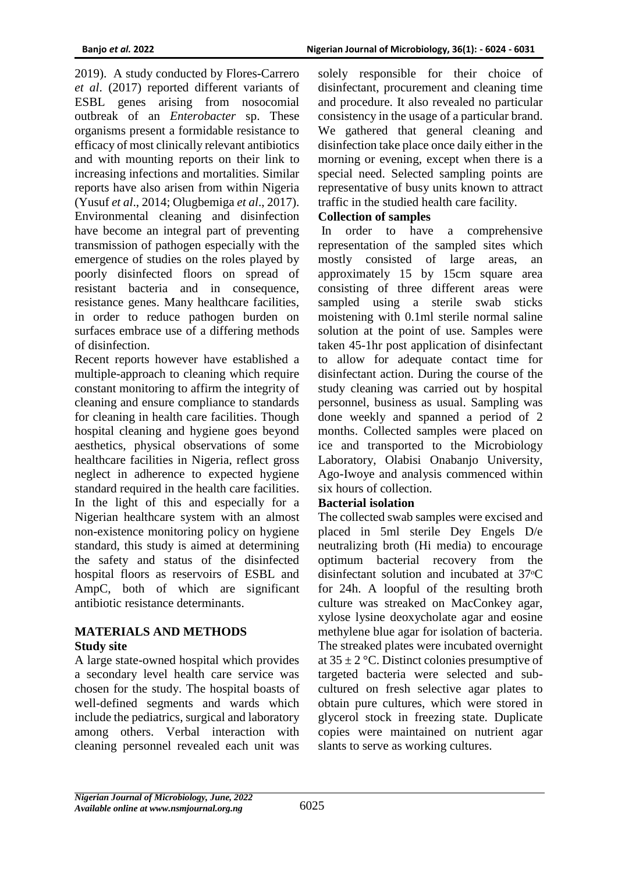2019). A study conducted by Flores-Carrero *et al*. (2017) reported different variants of ESBL genes arising from nosocomial outbreak of an *Enterobacter* sp. These organisms present a formidable resistance to efficacy of most clinically relevant antibiotics and with mounting reports on their link to increasing infections and mortalities. Similar reports have also arisen from within Nigeria (Yusuf *et al*., 2014; Olugbemiga *et al*., 2017). Environmental cleaning and disinfection have become an integral part of preventing transmission of pathogen especially with the emergence of studies on the roles played by poorly disinfected floors on spread of resistant bacteria and in consequence, resistance genes. Many healthcare facilities, in order to reduce pathogen burden on surfaces embrace use of a differing methods of disinfection.

Recent reports however have established a multiple-approach to cleaning which require constant monitoring to affirm the integrity of cleaning and ensure compliance to standards for cleaning in health care facilities. Though hospital cleaning and hygiene goes beyond aesthetics, physical observations of some healthcare facilities in Nigeria, reflect gross neglect in adherence to expected hygiene standard required in the health care facilities. In the light of this and especially for a Nigerian healthcare system with an almost non-existence monitoring policy on hygiene standard, this study is aimed at determining the safety and status of the disinfected hospital floors as reservoirs of ESBL and AmpC, both of which are significant antibiotic resistance determinants.

#### **MATERIALS AND METHODS Study site**

A large state-owned hospital which provides a secondary level health care service was chosen for the study. The hospital boasts of well-defined segments and wards which include the pediatrics, surgical and laboratory among others. Verbal interaction with cleaning personnel revealed each unit was

solely responsible for their choice of disinfectant, procurement and cleaning time and procedure. It also revealed no particular consistency in the usage of a particular brand. We gathered that general cleaning and disinfection take place once daily either in the morning or evening, except when there is a special need. Selected sampling points are representative of busy units known to attract traffic in the studied health care facility.

#### **Collection of samples**

In order to have a comprehensive representation of the sampled sites which mostly consisted of large areas, an approximately 15 by 15cm square area consisting of three different areas were sampled using a sterile swab sticks moistening with 0.1ml sterile normal saline solution at the point of use. Samples were taken 45-1hr post application of disinfectant to allow for adequate contact time for disinfectant action. During the course of the study cleaning was carried out by hospital personnel, business as usual. Sampling was done weekly and spanned a period of 2 months. Collected samples were placed on ice and transported to the Microbiology Laboratory, Olabisi Onabanjo University, Ago-Iwoye and analysis commenced within six hours of collection.

### **Bacterial isolation**

The collected swab samples were excised and placed in 5ml sterile Dey Engels D/e neutralizing broth (Hi media) to encourage optimum bacterial recovery from the disinfectant solution and incubated at 37 °C for 24h. A loopful of the resulting broth culture was streaked on MacConkey agar, xylose lysine deoxycholate agar and eosine methylene blue agar for isolation of bacteria. The streaked plates were incubated overnight at  $35 \pm 2$  °C. Distinct colonies presumptive of targeted bacteria were selected and subcultured on fresh selective agar plates to obtain pure cultures, which were stored in glycerol stock in freezing state. Duplicate copies were maintained on nutrient agar slants to serve as working cultures.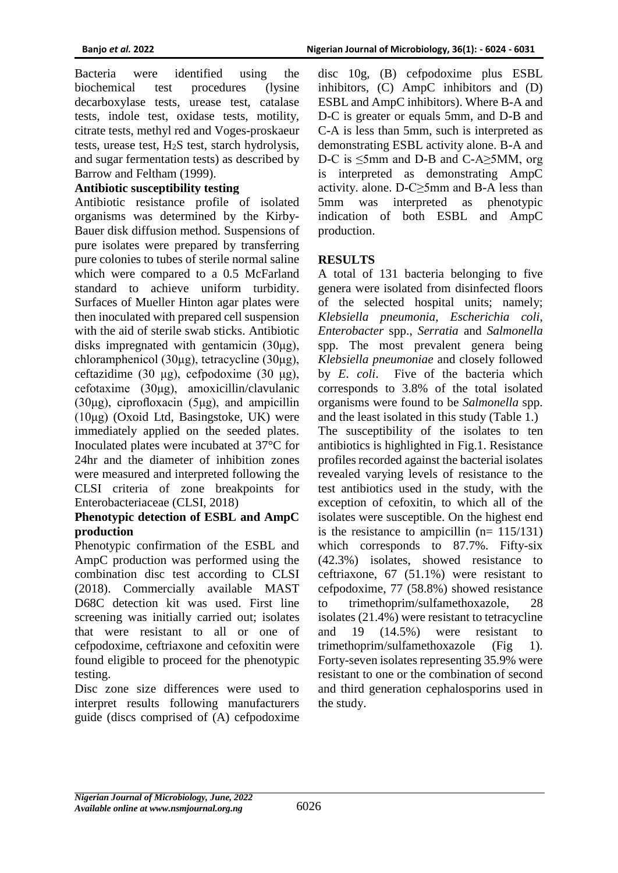Bacteria were identified using the biochemical test procedures (lysine decarboxylase tests, urease test, catalase tests, indole test, oxidase tests, motility, citrate tests, methyl red and Voges-proskaeur tests, urease test,  $H_2S$  test, starch hydrolysis, and sugar fermentation tests) as described by Barrow and Feltham (1999).

# **Antibiotic susceptibility testing**

Antibiotic resistance profile of isolated organisms was determined by the Kirby-Bauer disk diffusion method. Suspensions of pure isolates were prepared by transferring pure colonies to tubes of sterile normal saline which were compared to a 0.5 McFarland standard to achieve uniform turbidity. Surfaces of Mueller Hinton agar plates were then inoculated with prepared cell suspension with the aid of sterile swab sticks. Antibiotic disks impregnated with gentamicin (30μg), chloramphenicol (30μg), tetracycline (30μg), ceftazidime (30 μg), cefpodoxime (30 μg), cefotaxime (30μg), amoxicillin/clavulanic (30μg), ciprofloxacin (5μg), and ampicillin (10μg) (Oxoid Ltd, Basingstoke, UK) were immediately applied on the seeded plates. Inoculated plates were incubated at 37°C for 24hr and the diameter of inhibition zones were measured and interpreted following the CLSI criteria of zone breakpoints for Enterobacteriaceae (CLSI, 2018)

#### **Phenotypic detection of ESBL and AmpC production**

Phenotypic confirmation of the ESBL and AmpC production was performed using the combination disc test according to CLSI (2018). Commercially available MAST D68C detection kit was used. First line screening was initially carried out; isolates that were resistant to all or one of cefpodoxime, ceftriaxone and cefoxitin were found eligible to proceed for the phenotypic testing.

Disc zone size differences were used to interpret results following manufacturers guide (discs comprised of (A) cefpodoxime

disc 10g, (B) cefpodoxime plus ESBL inhibitors, (C) AmpC inhibitors and (D) ESBL and AmpC inhibitors). Where B-A and D-C is greater or equals 5mm, and D-B and C-A is less than 5mm, such is interpreted as demonstrating ESBL activity alone. B-A and D-C is  $\leq$ 5mm and D-B and C-A>5MM, org is interpreted as demonstrating AmpC activity. alone. D-C≥5mm and B-A less than 5mm was interpreted as phenotypic indication of both ESBL and AmpC production.

## **RESULTS**

A total of 131 bacteria belonging to five genera were isolated from disinfected floors of the selected hospital units; namely; *Klebsiella pneumonia*, *Escherichia coli*, *Enterobacter* spp., *Serratia* and *Salmonella* spp. The most prevalent genera being *Klebsiella pneumoniae* and closely followed by *E*. *coli*. Five of the bacteria which corresponds to 3.8% of the total isolated organisms were found to be *Salmonella* spp. and the least isolated in this study (Table 1.) The susceptibility of the isolates to ten antibiotics is highlighted in Fig.1. Resistance profiles recorded against the bacterial isolates revealed varying levels of resistance to the test antibiotics used in the study, with the exception of cefoxitin, to which all of the isolates were susceptible. On the highest end is the resistance to ampicillin  $(n= 115/131)$ which corresponds to 87.7%. Fifty-six (42.3%) isolates, showed resistance to ceftriaxone, 67 (51.1%) were resistant to cefpodoxime, 77 (58.8%) showed resistance to trimethoprim/sulfamethoxazole, 28 isolates (21.4%) were resistant to tetracycline and 19 (14.5%) were resistant to trimethoprim/sulfamethoxazole (Fig 1). Forty-seven isolates representing 35.9% were resistant to one or the combination of second and third generation cephalosporins used in the study.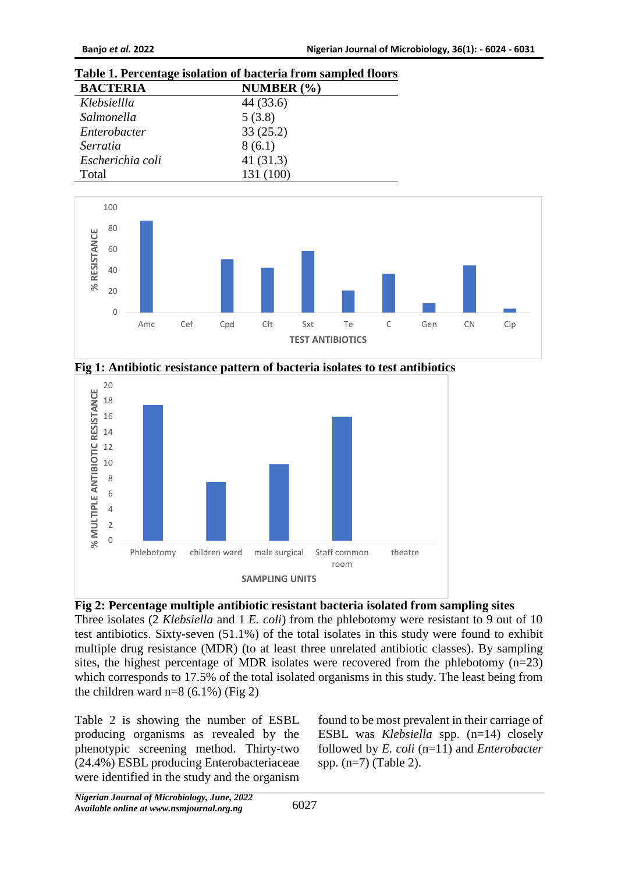### **Table 1. Percentage isolation of bacteria from sampled floors**

| <b>BACTERIA</b>  | NUMBER $(\% )$ |  |
|------------------|----------------|--|
| Klebsiellla      | 44 (33.6)      |  |
| Salmonella       | 5(3.8)         |  |
| Enterobacter     | 33(25.2)       |  |
| Serratia         | 8(6.1)         |  |
| Escherichia coli | 41(31.3)       |  |
| Total            | 131 (100)      |  |



**Fig 1: Antibiotic resistance pattern of bacteria isolates to test antibiotics**



#### **Fig 2: Percentage multiple antibiotic resistant bacteria isolated from sampling sites**

Three isolates (2 *Klebsiella* and 1 *E. coli*) from the phlebotomy were resistant to 9 out of 10 test antibiotics. Sixty-seven (51.1%) of the total isolates in this study were found to exhibit multiple drug resistance (MDR) (to at least three unrelated antibiotic classes). By sampling sites, the highest percentage of MDR isolates were recovered from the phlebotomy (n=23) which corresponds to 17.5% of the total isolated organisms in this study. The least being from the children ward  $n=8$  (6.1%) (Fig 2)

Table 2 is showing the number of ESBL producing organisms as revealed by the phenotypic screening method. Thirty-two (24.4%) ESBL producing Enterobacteriaceae were identified in the study and the organism

found to be most prevalent in their carriage of ESBL was *Klebsiella* spp. (n=14) closely followed by *E. coli* (n=11) and *Enterobacter* spp. (n=7) (Table 2).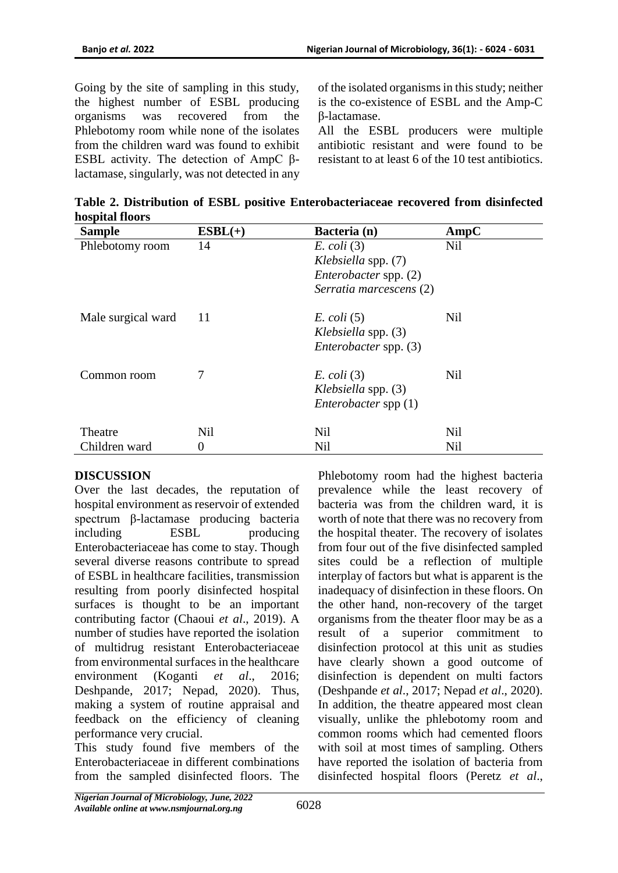Going by the site of sampling in this study, the highest number of ESBL producing organisms was recovered from the Phlebotomy room while none of the isolates from the children ward was found to exhibit ESBL activity. The detection of AmpC βlactamase, singularly, was not detected in any of the isolated organisms in this study; neither is the co-existence of ESBL and the Amp-C β-lactamase.

All the ESBL producers were multiple antibiotic resistant and were found to be resistant to at least 6 of the 10 test antibiotics.

| <b>Sample</b>      | $ESBL(+)$  | Bacteria (n)                 | AmpC       |
|--------------------|------------|------------------------------|------------|
| Phlebotomy room    | 14         | $E.$ coli $(3)$              | Nil        |
|                    |            | <i>Klebsiella spp.</i> (7)   |            |
|                    |            | Enterobacter spp. (2)        |            |
|                    |            | Serratia marcescens (2)      |            |
| Male surgical ward | 11         | $E. \, coli \, (5)$          | Nil        |
|                    |            | Klebsiella spp. (3)          |            |
|                    |            | <i>Enterobacter</i> spp. (3) |            |
| Common room        | 7          | $E.$ coli $(3)$              | Nil        |
|                    |            | <i>Klebsiella spp.</i> (3)   |            |
|                    |            | Enterobacter spp $(1)$       |            |
| Theatre            | <b>Nil</b> | <b>Nil</b>                   | <b>Nil</b> |
| Children ward      | 0          | <b>Nil</b>                   | Nil        |

**Table 2. Distribution of ESBL positive Enterobacteriaceae recovered from disinfected hospital floors**

# **DISCUSSION**

Over the last decades, the reputation of hospital environment as reservoir of extended spectrum β-lactamase producing bacteria including ESBL producing Enterobacteriaceae has come to stay. Though several diverse reasons contribute to spread of ESBL in healthcare facilities, transmission resulting from poorly disinfected hospital surfaces is thought to be an important contributing factor (Chaoui *et al*., 2019). A number of studies have reported the isolation of multidrug resistant Enterobacteriaceae from environmental surfaces in the healthcare environment (Koganti *et al*., 2016; Deshpande, 2017; Nepad, 2020). Thus, making a system of routine appraisal and feedback on the efficiency of cleaning performance very crucial.

This study found five members of the Enterobacteriaceae in different combinations from the sampled disinfected floors. The Phlebotomy room had the highest bacteria prevalence while the least recovery of bacteria was from the children ward, it is worth of note that there was no recovery from the hospital theater. The recovery of isolates from four out of the five disinfected sampled sites could be a reflection of multiple interplay of factors but what is apparent is the inadequacy of disinfection in these floors. On the other hand, non-recovery of the target organisms from the theater floor may be as a result of a superior commitment to disinfection protocol at this unit as studies have clearly shown a good outcome of disinfection is dependent on multi factors (Deshpande *et al*., 2017; Nepad *et al*., 2020). In addition, the theatre appeared most clean visually, unlike the phlebotomy room and common rooms which had cemented floors with soil at most times of sampling. Others have reported the isolation of bacteria from disinfected hospital floors (Peretz *et al*.,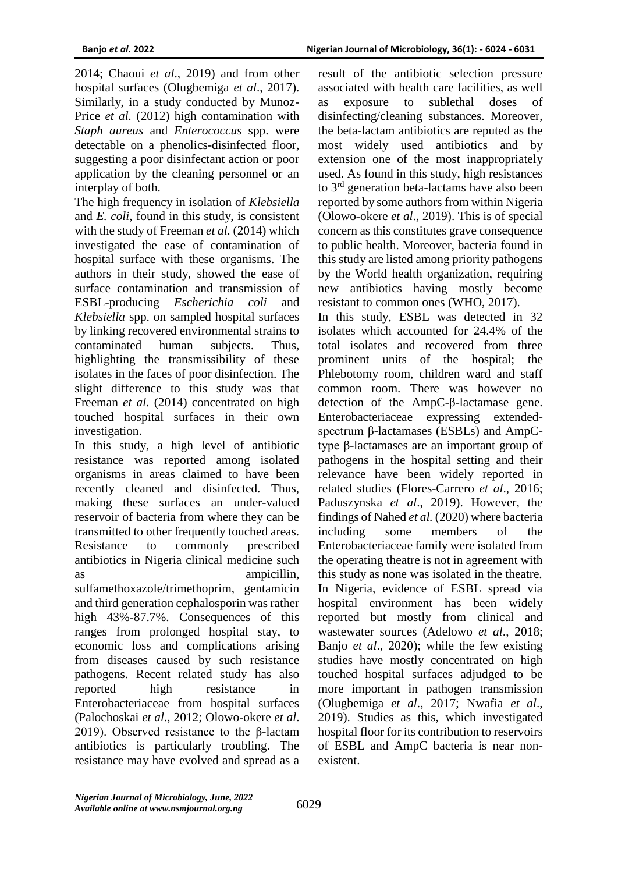2014; Chaoui *et al*., 2019) and from other hospital surfaces (Olugbemiga *et al*., 2017). Similarly, in a study conducted by Munoz-Price *et al.* (2012) high contamination with *Staph aureus* and *Enterococcus* spp. were detectable on a phenolics-disinfected floor, suggesting a poor disinfectant action or poor application by the cleaning personnel or an interplay of both.

The high frequency in isolation of *Klebsiella* and *E. coli*, found in this study, is consistent with the study of Freeman *et al.* (2014) which investigated the ease of contamination of hospital surface with these organisms. The authors in their study, showed the ease of surface contamination and transmission of ESBL-producing *Escherichia coli* and *Klebsiella* spp. on sampled hospital surfaces by linking recovered environmental strains to contaminated human subjects. Thus, highlighting the transmissibility of these isolates in the faces of poor disinfection. The slight difference to this study was that Freeman *et al.* (2014) concentrated on high touched hospital surfaces in their own investigation.

In this study, a high level of antibiotic resistance was reported among isolated organisms in areas claimed to have been recently cleaned and disinfected. Thus, making these surfaces an under-valued reservoir of bacteria from where they can be transmitted to other frequently touched areas. Resistance to commonly prescribed antibiotics in Nigeria clinical medicine such as ampicillin, sulfamethoxazole/trimethoprim, gentamicin and third generation cephalosporin was rather high 43%-87.7%. Consequences of this ranges from prolonged hospital stay, to economic loss and complications arising from diseases caused by such resistance pathogens. Recent related study has also reported high resistance in Enterobacteriaceae from hospital surfaces (Palochoskai *et al*., 2012; Olowo-okere *et al*. 2019). Observed resistance to the β-lactam antibiotics is particularly troubling. The resistance may have evolved and spread as a

result of the antibiotic selection pressure associated with health care facilities, as well as exposure to sublethal doses of disinfecting/cleaning substances. Moreover, the beta-lactam antibiotics are reputed as the most widely used antibiotics and by extension one of the most inappropriately used. As found in this study, high resistances to 3rd generation beta-lactams have also been reported by some authors from within Nigeria (Olowo-okere *et al*., 2019). This is of special concern as this constitutes grave consequence to public health. Moreover, bacteria found in this study are listed among priority pathogens by the World health organization, requiring new antibiotics having mostly become resistant to common ones (WHO, 2017).

In this study, ESBL was detected in 32 isolates which accounted for 24.4% of the total isolates and recovered from three prominent units of the hospital; the Phlebotomy room, children ward and staff common room. There was however no detection of the AmpC-β-lactamase gene. Enterobacteriaceae expressing extendedspectrum β-lactamases (ESBLs) and AmpCtype β-lactamases are an important group of pathogens in the hospital setting and their relevance have been widely reported in related studies (Flores-Carrero *et al*., 2016; Paduszynska *et al*., 2019). However, the findings of Nahed *et al.* (2020) where bacteria including some members of the Enterobacteriaceae family were isolated from the operating theatre is not in agreement with this study as none was isolated in the theatre. In Nigeria, evidence of ESBL spread via hospital environment has been widely reported but mostly from clinical and wastewater sources (Adelowo *et al*., 2018; Banjo *et al*., 2020); while the few existing studies have mostly concentrated on high touched hospital surfaces adjudged to be more important in pathogen transmission (Olugbemiga *et al*., 2017; Nwafia *et al*., 2019). Studies as this, which investigated hospital floor for its contribution to reservoirs of ESBL and AmpC bacteria is near nonexistent.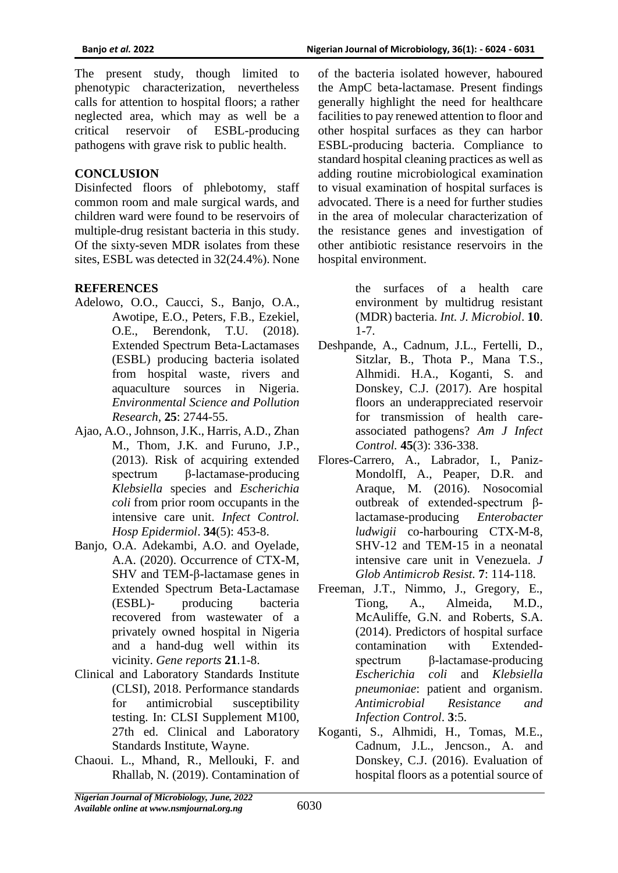The present study, though limited to phenotypic characterization, nevertheless calls for attention to hospital floors; a rather neglected area, which may as well be a critical reservoir of ESBL-producing pathogens with grave risk to public health.

### **CONCLUSION**

Disinfected floors of phlebotomy, staff common room and male surgical wards, and children ward were found to be reservoirs of multiple-drug resistant bacteria in this study. Of the sixty-seven MDR isolates from these sites, ESBL was detected in 32(24.4%). None

#### **REFERENCES**

- Adelowo, O.O., Caucci, S., Banjo, O.A., Awotipe, E.O., Peters, F.B., Ezekiel, O.E., Berendonk, T.U. (2018). Extended Spectrum Beta-Lactamases (ESBL) producing bacteria isolated from hospital waste, rivers and aquaculture sources in Nigeria. *Environmental Science and Pollution Research,* **25**: 2744-55.
- Ajao, A.O., Johnson, J.K., Harris, A.D., Zhan M., Thom, J.K. and Furuno, J.P., (2013). Risk of acquiring extended spectrum β-lactamase-producing *Klebsiella* species and *Escherichia coli* from prior room occupants in the intensive care unit. *Infect Control. Hosp Epidermiol*. **34**(5): 453-8.
- Banjo, O.A. Adekambi, A.O. and Oyelade, A.A. (2020). Occurrence of CTX-M, SHV and TEM-β-lactamase genes in Extended Spectrum Beta-Lactamase (ESBL)- producing bacteria recovered from wastewater of a privately owned hospital in Nigeria and a hand-dug well within its vicinity. *Gene reports* **21**.1-8.
- Clinical and Laboratory Standards Institute (CLSI), 2018. Performance standards for antimicrobial susceptibility testing. In: CLSI Supplement M100, 27th ed. Clinical and Laboratory Standards Institute, Wayne.
- Chaoui. L., Mhand, R., Mellouki, F. and Rhallab, N. (2019). Contamination of

of the bacteria isolated however, haboured the AmpC beta-lactamase. Present findings generally highlight the need for healthcare facilities to pay renewed attention to floor and other hospital surfaces as they can harbor ESBL-producing bacteria. Compliance to standard hospital cleaning practices as well as adding routine microbiological examination to visual examination of hospital surfaces is advocated. There is a need for further studies in the area of molecular characterization of the resistance genes and investigation of other antibiotic resistance reservoirs in the hospital environment.

> the surfaces of a health care environment by multidrug resistant (MDR) bacteria. *Int. J. Microbiol*. **10**. 1-7.

- Deshpande, A., Cadnum, J.L., Fertelli, D., Sitzlar, B., Thota P., Mana T.S., Alhmidi. H.A., Koganti, S. and Donskey, C.J. (2017). Are hospital floors an underappreciated reservoir for transmission of health careassociated pathogens? *Am J Infect Control.* **45**(3): 336-338.
- Flores-Carrero, A., Labrador, I., Paniz-MondolfI, A., Peaper, D.R. and Araque, M. (2016). Nosocomial outbreak of extended-spectrum βlactamase-producing *Enterobacter ludwigii* co-harbouring CTX-M-8, SHV-12 and TEM-15 in a neonatal intensive care unit in Venezuela. *J Glob Antimicrob Resist.* **7**: 114-118.
- Freeman, J.T., Nimmo, J., Gregory, E., Tiong, A., Almeida, M.D., McAuliffe, G.N. and Roberts, S.A. (2014). Predictors of hospital surface contamination with Extendedspectrum β-lactamase-producing *Escherichia coli* and *Klebsiella pneumoniae*: patient and organism. *Antimicrobial Resistance and Infection Control*. **3**:5.
- Koganti, S., Alhmidi, H., Tomas, M.E., Cadnum, J.L., Jencson., A. and Donskey, C.J. (2016). Evaluation of hospital floors as a potential source of